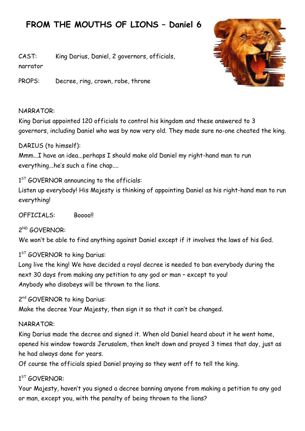# **FROM THE MOUTHS OF LIONS – Daniel 6**

CAST: King Darius, Daniel, 2 governors, officials, narrator

PROPS: Decree, ring, crown, robe, throne

#### NARRATOR:

King Darius appointed 120 officials to control his kingdom and these answered to 3 governors, including Daniel who was by now very old. They made sure no-one cheated the king.

#### DARIUS (to himself):

Mmm...I have an idea...perhaps I should make old Daniel my right-hand man to run everything...he's such a fine chap....

1<sup>ST</sup> GOVERNOR announcing to the officials:

Listen up everybody! His Majesty is thinking of appointing Daniel as his right-hand man to run everything!

OFFICIALS: Boooo!!

2 ND GOVERNOR:

We won't be able to find anything against Daniel except if it involves the laws of his God.

#### 1<sup>ST</sup> GOVERNOR to king Darius:

Long live the king! We have decided a royal decree is needed to ban everybody during the next 30 days from making any petition to any god or man – except to you! Anybody who disobeys will be thrown to the lions.

2<sup>nd</sup> GOVERNOR to king Darius:

Make the decree Your Majesty, then sign it so that it can't be changed.

#### NARRATOR:

King Darius made the decree and signed it. When old Daniel heard about it he went home, opened his window towards Jerusalem, then knelt down and prayed 3 times that day, just as he had always done for years.

Of course the officials spied Daniel praying so they went off to tell the king.

## 1 ST GOVERNOR:

Your Majesty, haven't you signed a decree banning anyone from making a petition to any god or man, except you, with the penalty of being thrown to the lions?